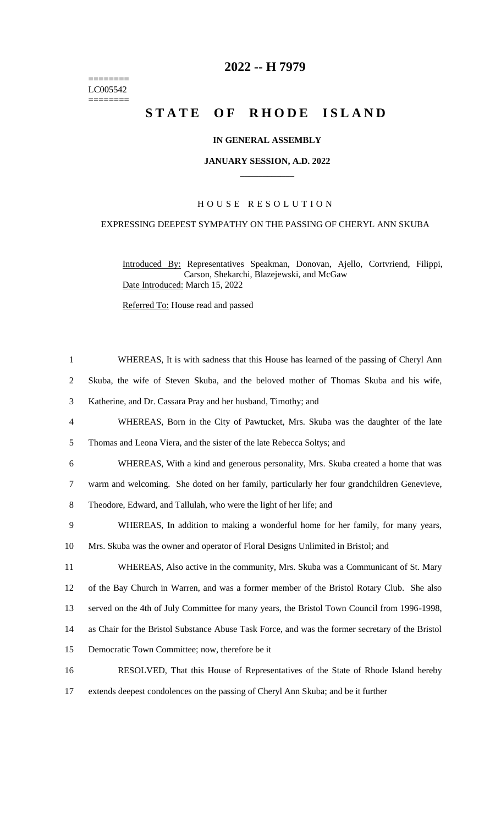======== LC005542  $=$ 

## **2022 -- H 7979**

# STATE OF RHODE ISLAND

#### **IN GENERAL ASSEMBLY**

#### **JANUARY SESSION, A.D. 2022 \_\_\_\_\_\_\_\_\_\_\_\_**

#### H O U S E R E S O L U T I O N

### EXPRESSING DEEPEST SYMPATHY ON THE PASSING OF CHERYL ANN SKUBA

Introduced By: Representatives Speakman, Donovan, Ajello, Cortvriend, Filippi, Carson, Shekarchi, Blazejewski, and McGaw Date Introduced: March 15, 2022

Referred To: House read and passed

| $\mathbf{1}$   | WHEREAS, It is with sadness that this House has learned of the passing of Cheryl Ann             |
|----------------|--------------------------------------------------------------------------------------------------|
| $\overline{2}$ | Skuba, the wife of Steven Skuba, and the beloved mother of Thomas Skuba and his wife,            |
| 3              | Katherine, and Dr. Cassara Pray and her husband, Timothy; and                                    |
| $\overline{4}$ | WHEREAS, Born in the City of Pawtucket, Mrs. Skuba was the daughter of the late                  |
| $\mathfrak{S}$ | Thomas and Leona Viera, and the sister of the late Rebecca Soltys; and                           |
| 6              | WHEREAS, With a kind and generous personality, Mrs. Skuba created a home that was                |
| $\tau$         | warm and welcoming. She doted on her family, particularly her four grandchildren Genevieve,      |
| 8              | Theodore, Edward, and Tallulah, who were the light of her life; and                              |
| 9              | WHEREAS, In addition to making a wonderful home for her family, for many years,                  |
| 10             | Mrs. Skuba was the owner and operator of Floral Designs Unlimited in Bristol; and                |
| 11             | WHEREAS, Also active in the community, Mrs. Skuba was a Communicant of St. Mary                  |
| 12             | of the Bay Church in Warren, and was a former member of the Bristol Rotary Club. She also        |
| 13             | served on the 4th of July Committee for many years, the Bristol Town Council from 1996-1998,     |
| 14             | as Chair for the Bristol Substance Abuse Task Force, and was the former secretary of the Bristol |
| 15             | Democratic Town Committee; now, therefore be it                                                  |
| 16             | RESOLVED, That this House of Representatives of the State of Rhode Island hereby                 |
| 17             | extends deepest condolences on the passing of Cheryl Ann Skuba; and be it further                |